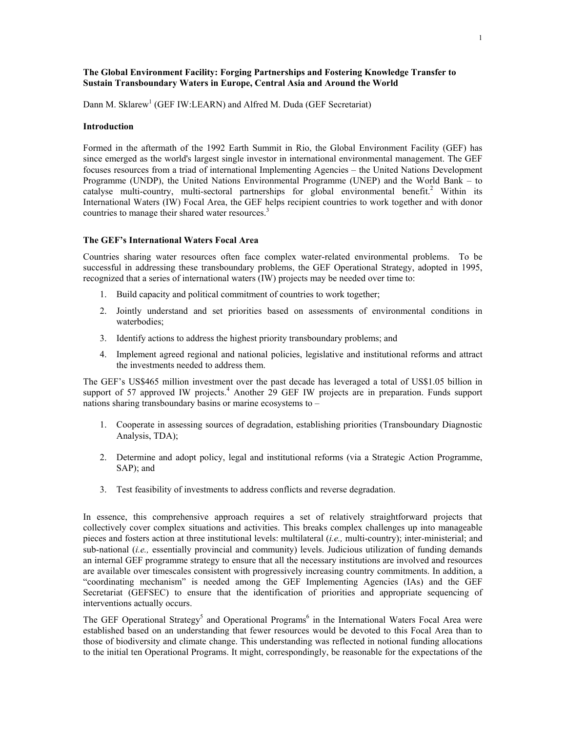# **The Global Environment Facility: Forging Partnerships and Fostering Knowledge Transfer to Sustain Transboundary Waters in Europe, Central Asia and Around the World**

Dann M. Sklarew<sup>[1](#page-7-0)</sup> (GEF IW:LEARN) and Alfred M. Duda (GEF Secretariat)

#### **Introduction**

Formed in the aftermath of the 1992 Earth Summit in Rio, the Global Environment Facility (GEF) has since emerged as the world's largest single investor in international environmental management. The GEF focuses resources from a triad of international Implementing Agencies – the United Nations Development Programme (UNDP), the United Nations Environmental Programme (UNEP) and the World Bank – to catalysemulti-country, multi-sectoral partnerships for global environmental benefit.<sup>2</sup> Within its International Waters (IW) Focal Area, the GEF helps recipient countries to work together and with donor countries to manage their shared water resources.<sup>3</sup>

# **The GEF's International Waters Focal Area**

Countries sharing water resources often face complex water-related environmental problems. To be successful in addressing these transboundary problems, the GEF Operational Strategy, adopted in 1995, recognized that a series of international waters (IW) projects may be needed over time to:

- 1. Build capacity and political commitment of countries to work together;
- 2. Jointly understand and set priorities based on assessments of environmental conditions in waterbodies;
- 3. Identify actions to address the highest priority transboundary problems; and
- 4. Implement agreed regional and national policies, legislative and institutional reforms and attract the investments needed to address them.

The GEF's US\$465 million investment over the past decade has leveraged a total of US\$1.05 billion in support of 57 approved IW projects.<sup>[4](#page-7-3)</sup> Another 29 GEF IW projects are in preparation. Funds support nations sharing transboundary basins or marine ecosystems to –

- 1. Cooperate in assessing sources of degradation, establishing priorities (Transboundary Diagnostic Analysis, TDA);
- 2. Determine and adopt policy, legal and institutional reforms (via a Strategic Action Programme, SAP); and
- 3. Test feasibility of investments to address conflicts and reverse degradation.

In essence, this comprehensive approach requires a set of relatively straightforward projects that collectively cover complex situations and activities. This breaks complex challenges up into manageable pieces and fosters action at three institutional levels: multilateral (*i.e.,* multi-country); inter-ministerial; and sub-national (*i.e.*, essentially provincial and community) levels. Judicious utilization of funding demands an internal GEF programme strategy to ensure that all the necessary institutions are involved and resources are available over timescales consistent with progressively increasing country commitments. In addition, a "coordinating mechanism" is needed among the GEF Implementing Agencies (IAs) and the GEF Secretariat (GEFSEC) to ensure that the identification of priorities and appropriate sequencing of interventions actually occurs.

TheGEF Operational Strategy<sup>5</sup> and Operational Programs<sup>6</sup> in the International Waters Focal Area were established based on an understanding that fewer resources would be devoted to this Focal Area than to those of biodiversity and climate change. This understanding was reflected in notional funding allocations to the initial ten Operational Programs. It might, correspondingly, be reasonable for the expectations of the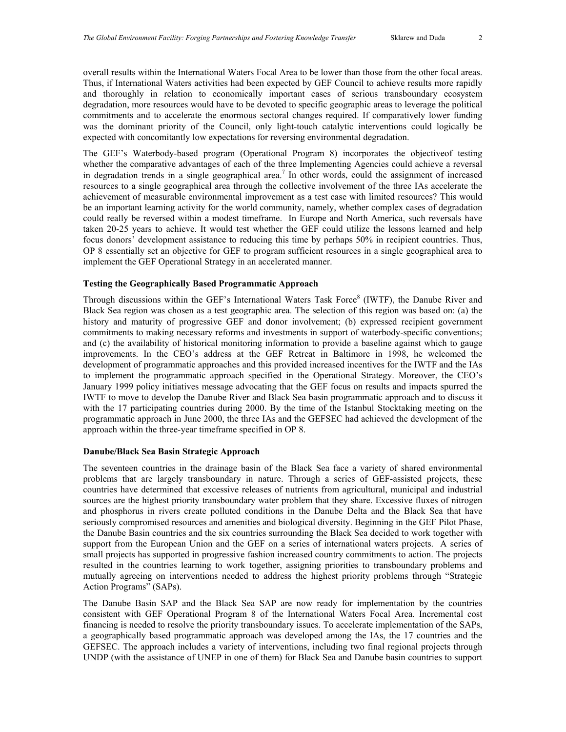overall results within the International Waters Focal Area to be lower than those from the other focal areas. Thus, if International Waters activities had been expected by GEF Council to achieve results more rapidly and thoroughly in relation to economically important cases of serious transboundary ecosystem degradation, more resources would have to be devoted to specific geographic areas to leverage the political commitments and to accelerate the enormous sectoral changes required. If comparatively lower funding was the dominant priority of the Council, only light-touch catalytic interventions could logically be expected with concomitantly low expectations for reversing environmental degradation.

The GEF's Waterbody-based program (Operational Program 8) incorporates the objectiveof testing whether the comparative advantages of each of the three Implementing Agencies could achieve a reversal in degradation trends in a single geographical area.<sup>[7](#page-7-5)</sup> In other words, could the assignment of increased resources to a single geographical area through the collective involvement of the three IAs accelerate the achievement of measurable environmental improvement as a test case with limited resources? This would be an important learning activity for the world community, namely, whether complex cases of degradation could really be reversed within a modest timeframe. In Europe and North America, such reversals have taken 20-25 years to achieve. It would test whether the GEF could utilize the lessons learned and help focus donors' development assistance to reducing this time by perhaps 50% in recipient countries. Thus, OP 8 essentially set an objective for GEF to program sufficient resources in a single geographical area to implement the GEF Operational Strategy in an accelerated manner.

# **Testing the Geographically Based Programmatic Approach**

Through discussions within the GEF's International Waters Task Force<sup>8</sup> (IWTF), the Danube River and Black Sea region was chosen as a test geographic area. The selection of this region was based on: (a) the history and maturity of progressive GEF and donor involvement; (b) expressed recipient government commitments to making necessary reforms and investments in support of waterbody-specific conventions; and (c) the availability of historical monitoring information to provide a baseline against which to gauge improvements. In the CEO's address at the GEF Retreat in Baltimore in 1998, he welcomed the development of programmatic approaches and this provided increased incentives for the IWTF and the IAs to implement the programmatic approach specified in the Operational Strategy. Moreover, the CEO's January 1999 policy initiatives message advocating that the GEF focus on results and impacts spurred the IWTF to move to develop the Danube River and Black Sea basin programmatic approach and to discuss it with the 17 participating countries during 2000. By the time of the Istanbul Stocktaking meeting on the programmatic approach in June 2000, the three IAs and the GEFSEC had achieved the development of the approach within the three-year timeframe specified in OP 8.

### **Danube/Black Sea Basin Strategic Approach**

The seventeen countries in the drainage basin of the Black Sea face a variety of shared environmental problems that are largely transboundary in nature. Through a series of GEF-assisted projects, these countries have determined that excessive releases of nutrients from agricultural, municipal and industrial sources are the highest priority transboundary water problem that they share. Excessive fluxes of nitrogen and phosphorus in rivers create polluted conditions in the Danube Delta and the Black Sea that have seriously compromised resources and amenities and biological diversity. Beginning in the GEF Pilot Phase, the Danube Basin countries and the six countries surrounding the Black Sea decided to work together with support from the European Union and the GEF on a series of international waters projects. A series of small projects has supported in progressive fashion increased country commitments to action. The projects resulted in the countries learning to work together, assigning priorities to transboundary problems and mutually agreeing on interventions needed to address the highest priority problems through "Strategic Action Programs" (SAPs).

The Danube Basin SAP and the Black Sea SAP are now ready for implementation by the countries consistent with GEF Operational Program 8 of the International Waters Focal Area. Incremental cost financing is needed to resolve the priority transboundary issues. To accelerate implementation of the SAPs, a geographically based programmatic approach was developed among the IAs, the 17 countries and the GEFSEC. The approach includes a variety of interventions, including two final regional projects through UNDP (with the assistance of UNEP in one of them) for Black Sea and Danube basin countries to support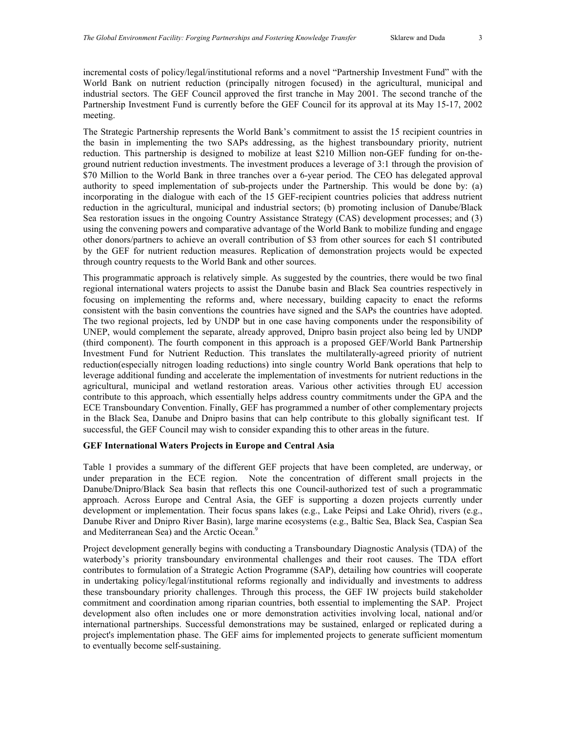incremental costs of policy/legal/institutional reforms and a novel "Partnership Investment Fund" with the World Bank on nutrient reduction (principally nitrogen focused) in the agricultural, municipal and industrial sectors. The GEF Council approved the first tranche in May 2001. The second tranche of the Partnership Investment Fund is currently before the GEF Council for its approval at its May 15-17, 2002 meeting.

The Strategic Partnership represents the World Bank's commitment to assist the 15 recipient countries in the basin in implementing the two SAPs addressing, as the highest transboundary priority, nutrient reduction. This partnership is designed to mobilize at least \$210 Million non-GEF funding for on-theground nutrient reduction investments. The investment produces a leverage of 3:1 through the provision of \$70 Million to the World Bank in three tranches over a 6-year period. The CEO has delegated approval authority to speed implementation of sub-projects under the Partnership. This would be done by: (a) incorporating in the dialogue with each of the 15 GEF-recipient countries policies that address nutrient reduction in the agricultural, municipal and industrial sectors; (b) promoting inclusion of Danube/Black Sea restoration issues in the ongoing Country Assistance Strategy (CAS) development processes; and (3) using the convening powers and comparative advantage of the World Bank to mobilize funding and engage other donors/partners to achieve an overall contribution of \$3 from other sources for each \$1 contributed by the GEF for nutrient reduction measures. Replication of demonstration projects would be expected through country requests to the World Bank and other sources.

This programmatic approach is relatively simple. As suggested by the countries, there would be two final regional international waters projects to assist the Danube basin and Black Sea countries respectively in focusing on implementing the reforms and, where necessary, building capacity to enact the reforms consistent with the basin conventions the countries have signed and the SAPs the countries have adopted. The two regional projects, led by UNDP but in one case having components under the responsibility of UNEP, would complement the separate, already approved, Dnipro basin project also being led by UNDP (third component). The fourth component in this approach is a proposed GEF/World Bank Partnership Investment Fund for Nutrient Reduction. This translates the multilaterally-agreed priority of nutrient reduction(especially nitrogen loading reductions) into single country World Bank operations that help to leverage additional funding and accelerate the implementation of investments for nutrient reductions in the agricultural, municipal and wetland restoration areas. Various other activities through EU accession contribute to this approach, which essentially helps address country commitments under the GPA and the ECE Transboundary Convention. Finally, GEF has programmed a number of other complementary projects in the Black Sea, Danube and Dnipro basins that can help contribute to this globally significant test. If successful, the GEF Council may wish to consider expanding this to other areas in the future.

### **GEF International Waters Projects in Europe and Central Asia**

Table 1 provides a summary of the different GEF projects that have been completed, are underway, or under preparation in the ECE region. Note the concentration of different small projects in the Danube/Dnipro/Black Sea basin that reflects this one Council-authorized test of such a programmatic approach. Across Europe and Central Asia, the GEF is supporting a dozen projects currently under development or implementation. Their focus spans lakes (e.g., Lake Peipsi and Lake Ohrid), rivers (e.g., Danube River and Dnipro River Basin), large marine ecosystems (e.g., Baltic Sea, Black Sea, Caspian Sea and Mediterranean Sea) and the Arctic Ocean.<sup>[9](#page-7-7)</sup>

Project development generally begins with conducting a Transboundary Diagnostic Analysis (TDA) of the waterbody's priority transboundary environmental challenges and their root causes. The TDA effort contributes to formulation of a Strategic Action Programme (SAP), detailing how countries will cooperate in undertaking policy/legal/institutional reforms regionally and individually and investments to address these transboundary priority challenges. Through this process, the GEF IW projects build stakeholder commitment and coordination among riparian countries, both essential to implementing the SAP. Project development also often includes one or more demonstration activities involving local, national and/or international partnerships. Successful demonstrations may be sustained, enlarged or replicated during a project's implementation phase. The GEF aims for implemented projects to generate sufficient momentum to eventually become self-sustaining.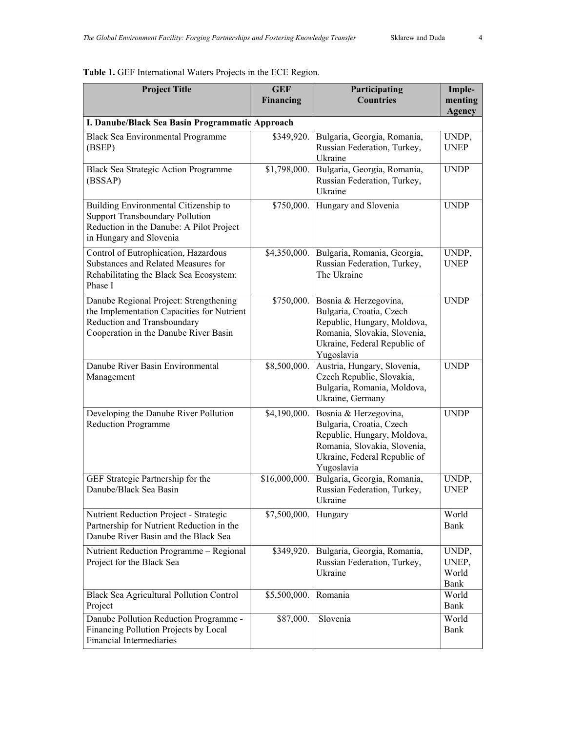| <b>Project Title</b>                                                                                                                                         | <b>GEF</b><br><b>Financing</b> | Participating<br><b>Countries</b>                                                                                                                              | Imple-<br>menting<br>Agency     |  |  |
|--------------------------------------------------------------------------------------------------------------------------------------------------------------|--------------------------------|----------------------------------------------------------------------------------------------------------------------------------------------------------------|---------------------------------|--|--|
| I. Danube/Black Sea Basin Programmatic Approach                                                                                                              |                                |                                                                                                                                                                |                                 |  |  |
| Black Sea Environmental Programme<br>(BSEP)                                                                                                                  | \$349,920.                     | Bulgaria, Georgia, Romania,<br>Russian Federation, Turkey,<br>Ukraine                                                                                          | UNDP,<br><b>UNEP</b>            |  |  |
| <b>Black Sea Strategic Action Programme</b><br>(BSSAP)                                                                                                       | \$1,798,000.                   | Bulgaria, Georgia, Romania,<br>Russian Federation, Turkey,<br>Ukraine                                                                                          | <b>UNDP</b>                     |  |  |
| Building Environmental Citizenship to<br><b>Support Transboundary Pollution</b><br>Reduction in the Danube: A Pilot Project<br>in Hungary and Slovenia       | \$750,000.                     | Hungary and Slovenia                                                                                                                                           | <b>UNDP</b>                     |  |  |
| Control of Eutrophication, Hazardous<br>Substances and Related Measures for<br>Rehabilitating the Black Sea Ecosystem:<br>Phase I                            | \$4,350,000.                   | Bulgaria, Romania, Georgia,<br>Russian Federation, Turkey,<br>The Ukraine                                                                                      | UNDP,<br><b>UNEP</b>            |  |  |
| Danube Regional Project: Strengthening<br>the Implementation Capacities for Nutrient<br>Reduction and Transboundary<br>Cooperation in the Danube River Basin | \$750,000.                     | Bosnia & Herzegovina,<br>Bulgaria, Croatia, Czech<br>Republic, Hungary, Moldova,<br>Romania, Slovakia, Slovenia,<br>Ukraine, Federal Republic of<br>Yugoslavia | <b>UNDP</b>                     |  |  |
| Danube River Basin Environmental<br>Management                                                                                                               | \$8,500,000.                   | Austria, Hungary, Slovenia,<br>Czech Republic, Slovakia,<br>Bulgaria, Romania, Moldova,<br>Ukraine, Germany                                                    | <b>UNDP</b>                     |  |  |
| Developing the Danube River Pollution<br><b>Reduction Programme</b>                                                                                          | \$4,190,000.                   | Bosnia & Herzegovina,<br>Bulgaria, Croatia, Czech<br>Republic, Hungary, Moldova,<br>Romania, Slovakia, Slovenia,<br>Ukraine, Federal Republic of<br>Yugoslavia | <b>UNDP</b>                     |  |  |
| GEF Strategic Partnership for the<br>Danube/Black Sea Basin                                                                                                  | \$16,000,000.                  | Bulgaria, Georgia, Romania,<br>Russian Federation, Turkey,<br>Ukraine                                                                                          | UNDP,<br><b>UNEP</b>            |  |  |
| Nutrient Reduction Project - Strategic<br>Partnership for Nutrient Reduction in the<br>Danube River Basin and the Black Sea                                  | \$7,500,000.                   | Hungary                                                                                                                                                        | World<br>Bank                   |  |  |
| Nutrient Reduction Programme - Regional<br>Project for the Black Sea                                                                                         | \$349,920.                     | Bulgaria, Georgia, Romania,<br>Russian Federation, Turkey,<br>Ukraine                                                                                          | UNDP,<br>UNEP,<br>World<br>Bank |  |  |
| Black Sea Agricultural Pollution Control<br>Project                                                                                                          | \$5,500,000.                   | Romania                                                                                                                                                        | World<br>Bank                   |  |  |
| Danube Pollution Reduction Programme -<br>Financing Pollution Projects by Local<br>Financial Intermediaries                                                  | \$87,000.                      | Slovenia                                                                                                                                                       | World<br>Bank                   |  |  |

# **Table 1.** GEF International Waters Projects in the ECE Region.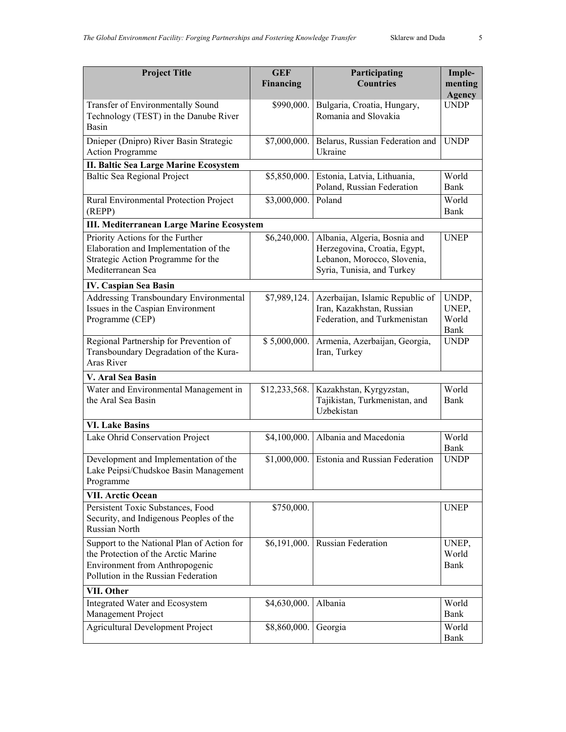| <b>Project Title</b>                                                                                                                                       | <b>GEF</b><br>Financing | Participating<br><b>Countries</b>                                                                                         | Imple-<br>menting<br><b>Agency</b>     |  |  |
|------------------------------------------------------------------------------------------------------------------------------------------------------------|-------------------------|---------------------------------------------------------------------------------------------------------------------------|----------------------------------------|--|--|
| Transfer of Environmentally Sound<br>Technology (TEST) in the Danube River<br>Basin                                                                        | \$990,000.              | Bulgaria, Croatia, Hungary,<br>Romania and Slovakia                                                                       | <b>UNDP</b>                            |  |  |
| Dnieper (Dnipro) River Basin Strategic<br><b>Action Programme</b>                                                                                          | \$7,000,000.            | Belarus, Russian Federation and<br>Ukraine                                                                                | <b>UNDP</b>                            |  |  |
| <b>II. Baltic Sea Large Marine Ecosystem</b>                                                                                                               |                         |                                                                                                                           |                                        |  |  |
| <b>Baltic Sea Regional Project</b>                                                                                                                         | \$5,850,000.            | Estonia, Latvia, Lithuania,<br>Poland, Russian Federation                                                                 | World<br><b>Bank</b>                   |  |  |
| Rural Environmental Protection Project<br>(REPP)                                                                                                           | \$3,000,000.            | Poland                                                                                                                    | World<br>Bank                          |  |  |
| <b>III. Mediterranean Large Marine Ecosystem</b>                                                                                                           |                         |                                                                                                                           |                                        |  |  |
| Priority Actions for the Further<br>Elaboration and Implementation of the<br>Strategic Action Programme for the<br>Mediterranean Sea                       | \$6,240,000.            | Albania, Algeria, Bosnia and<br>Herzegovina, Croatia, Egypt,<br>Lebanon, Morocco, Slovenia,<br>Syria, Tunisia, and Turkey | <b>UNEP</b>                            |  |  |
| IV. Caspian Sea Basin                                                                                                                                      |                         |                                                                                                                           |                                        |  |  |
| Addressing Transboundary Environmental<br>Issues in the Caspian Environment<br>Programme (CEP)                                                             | \$7,989,124.            | Azerbaijan, Islamic Republic of<br>Iran, Kazakhstan, Russian<br>Federation, and Turkmenistan                              | UNDP,<br>UNEP,<br>World<br><b>Bank</b> |  |  |
| Regional Partnership for Prevention of<br>Transboundary Degradation of the Kura-<br>Aras River                                                             | \$5,000,000.            | Armenia, Azerbaijan, Georgia,<br>Iran, Turkey                                                                             | <b>UNDP</b>                            |  |  |
| V. Aral Sea Basin                                                                                                                                          |                         |                                                                                                                           |                                        |  |  |
| Water and Environmental Management in<br>the Aral Sea Basin                                                                                                | \$12,233,568.           | Kazakhstan, Kyrgyzstan,<br>Tajikistan, Turkmenistan, and<br>Uzbekistan                                                    | World<br>Bank                          |  |  |
| <b>VI. Lake Basins</b>                                                                                                                                     |                         |                                                                                                                           |                                        |  |  |
| Lake Ohrid Conservation Project                                                                                                                            | \$4,100,000.            | Albania and Macedonia                                                                                                     | World<br>Bank                          |  |  |
| Development and Implementation of the<br>Lake Peipsi/Chudskoe Basin Management<br>Programme                                                                | \$1,000,000.            | Estonia and Russian Federation                                                                                            | <b>UNDP</b>                            |  |  |
| <b>VII. Arctic Ocean</b>                                                                                                                                   |                         |                                                                                                                           |                                        |  |  |
| Persistent Toxic Substances, Food<br>Security, and Indigenous Peoples of the<br><b>Russian North</b>                                                       | \$750,000.              |                                                                                                                           | <b>UNEP</b>                            |  |  |
| Support to the National Plan of Action for<br>the Protection of the Arctic Marine<br>Environment from Anthropogenic<br>Pollution in the Russian Federation | \$6,191,000.            | Russian Federation                                                                                                        | UNEP,<br>World<br><b>Bank</b>          |  |  |
| VII. Other                                                                                                                                                 |                         |                                                                                                                           |                                        |  |  |
| Integrated Water and Ecosystem<br>Management Project                                                                                                       | \$4,630,000.            | Albania                                                                                                                   | World<br>Bank                          |  |  |
| <b>Agricultural Development Project</b>                                                                                                                    | \$8,860,000.            | Georgia                                                                                                                   | World<br><b>Bank</b>                   |  |  |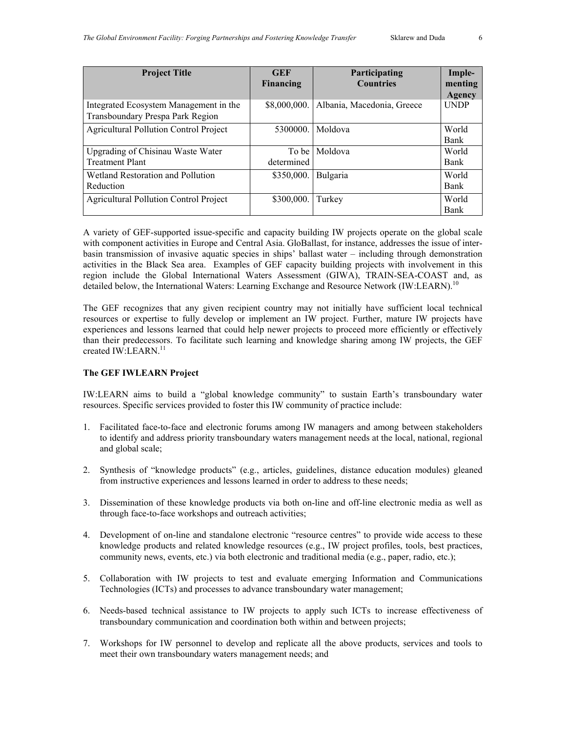| <b>Project Title</b>                                                       | <b>GEF</b><br>Financing | Participating<br><b>Countries</b> | Imple-<br>menting<br><b>Agency</b> |
|----------------------------------------------------------------------------|-------------------------|-----------------------------------|------------------------------------|
| Integrated Ecosystem Management in the<br>Transboundary Prespa Park Region | \$8,000,000.            | Albania, Macedonia, Greece        | <b>UNDP</b>                        |
| <b>Agricultural Pollution Control Project</b>                              | 5300000                 | Moldova                           | World<br><b>Bank</b>               |
| Upgrading of Chisinau Waste Water<br><b>Treatment Plant</b>                | To be I<br>determined   | Moldova                           | World<br><b>Bank</b>               |
| Wetland Restoration and Pollution<br>Reduction                             | \$350,000.              | Bulgaria                          | World<br><b>Bank</b>               |
| <b>Agricultural Pollution Control Project</b>                              | \$300,000.              | Turkey                            | World<br><b>Bank</b>               |

A variety of GEF-supported issue-specific and capacity building IW projects operate on the global scale with component activities in Europe and Central Asia. GloBallast, for instance, addresses the issue of interbasin transmission of invasive aquatic species in ships' ballast water – including through demonstration activities in the Black Sea area. Examples of GEF capacity building projects with involvement in this region include the Global International Waters Assessment (GIWA), TRAIN-SEA-COAST and, as detailed below, the International Waters: Learning Exchange and Resource Network (IW:LEARN).<sup>[10](#page-7-8)</sup>

The GEF recognizes that any given recipient country may not initially have sufficient local technical resources or expertise to fully develop or implement an IW project. Further, mature IW projects have experiences and lessons learned that could help newer projects to proceed more efficiently or effectively than their predecessors. To facilitate such learning and knowledge sharing among IW projects, the GEF created IW:LEARN.<sup>11</sup>

### **The GEF IWLEARN Project**

IW:LEARN aims to build a "global knowledge community" to sustain Earth's transboundary water resources. Specific services provided to foster this IW community of practice include:

- 1. Facilitated face-to-face and electronic forums among IW managers and among between stakeholders to identify and address priority transboundary waters management needs at the local, national, regional and global scale;
- 2. Synthesis of "knowledge products" (e.g., articles, guidelines, distance education modules) gleaned from instructive experiences and lessons learned in order to address to these needs;
- 3. Dissemination of these knowledge products via both on-line and off-line electronic media as well as through face-to-face workshops and outreach activities;
- 4. Development of on-line and standalone electronic "resource centres" to provide wide access to these knowledge products and related knowledge resources (e.g., IW project profiles, tools, best practices, community news, events, etc.) via both electronic and traditional media (e.g., paper, radio, etc.);
- 5. Collaboration with IW projects to test and evaluate emerging Information and Communications Technologies (ICTs) and processes to advance transboundary water management;
- 6. Needs-based technical assistance to IW projects to apply such ICTs to increase effectiveness of transboundary communication and coordination both within and between projects;
- 7. Workshops for IW personnel to develop and replicate all the above products, services and tools to meet their own transboundary waters management needs; and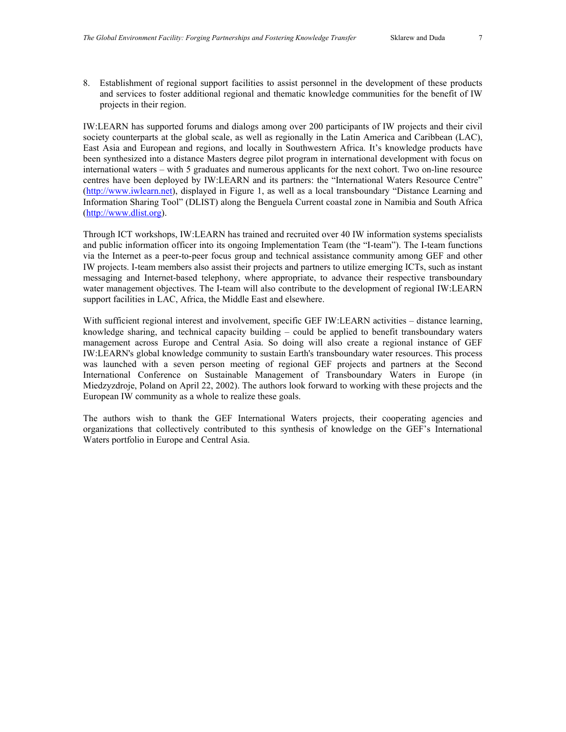8. Establishment of regional support facilities to assist personnel in the development of these products and services to foster additional regional and thematic knowledge communities for the benefit of IW projects in their region.

IW:LEARN has supported forums and dialogs among over 200 participants of IW projects and their civil society counterparts at the global scale, as well as regionally in the Latin America and Caribbean (LAC), East Asia and European and regions, and locally in Southwestern Africa. It's knowledge products have been synthesized into a distance Masters degree pilot program in international development with focus on international waters – with 5 graduates and numerous applicants for the next cohort. Two on-line resource centres have been deployed by IW:LEARN and its partners: the "International Waters Resource Centre" [\(http://www.iwlearn.net](http://www.iwlearn.net/)), displayed in Figure 1, as well as a local transboundary "Distance Learning and Information Sharing Tool" (DLIST) along the Benguela Current coastal zone in Namibia and South Africa [\(http://www.dlist.org\)](http://www.dlist.org/).

Through ICT workshops, IW:LEARN has trained and recruited over 40 IW information systems specialists and public information officer into its ongoing Implementation Team (the "I-team"). The I-team functions via the Internet as a peer-to-peer focus group and technical assistance community among GEF and other IW projects. I-team members also assist their projects and partners to utilize emerging ICTs, such as instant messaging and Internet-based telephony, where appropriate, to advance their respective transboundary water management objectives. The I-team will also contribute to the development of regional IW:LEARN support facilities in LAC, Africa, the Middle East and elsewhere.

With sufficient regional interest and involvement, specific GEF IW:LEARN activities – distance learning, knowledge sharing, and technical capacity building – could be applied to benefit transboundary waters management across Europe and Central Asia. So doing will also create a regional instance of GEF IW:LEARN's global knowledge community to sustain Earth's transboundary water resources. This process was launched with a seven person meeting of regional GEF projects and partners at the Second International Conference on Sustainable Management of Transboundary Waters in Europe (in Miedzyzdroje, Poland on April 22, 2002). The authors look forward to working with these projects and the European IW community as a whole to realize these goals.

The authors wish to thank the GEF International Waters projects, their cooperating agencies and organizations that collectively contributed to this synthesis of knowledge on the GEF's International Waters portfolio in Europe and Central Asia.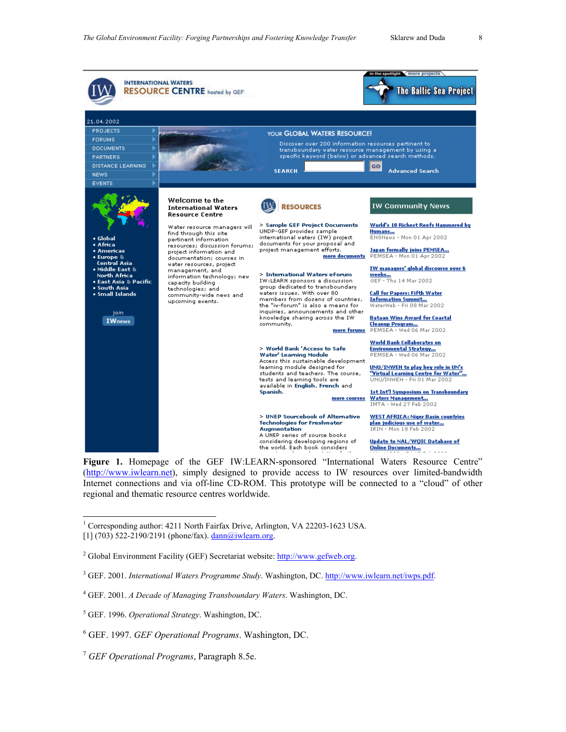<span id="page-7-5"></span><span id="page-7-2"></span><span id="page-7-1"></span>

<span id="page-7-9"></span><span id="page-7-8"></span><span id="page-7-6"></span><span id="page-7-3"></span>Figure 1. Homepage of the GEF IW:LEARN-sponsored "International Waters Resource Centre" [\(http://www.iwlearn.net](http://www.iwlearn.net/)), simply designed to provide access to IW resources over limited-bandwidth Internet connections and via off-line CD-ROM. This prototype will be connected to a "cloud" of other regional and thematic resource centres worldwide.

<span id="page-7-7"></span><span id="page-7-0"></span>|<br>|<br>| <sup>1</sup> Corresponding author: 4211 North Fairfax Drive, Arlington, VA 22203-1623 USA. [1] (703) 522-2190/2191 (phone/fax).  $\frac{\text{dann}(a)}{\text{i}}$  wlearn.org.

<sup>2</sup> Global Environment Facility (GEF) Secretariat website: **[http://www.gefweb.org](http://www.gefweb.org/).** 

<sup>3</sup> GEF. 2001. *International Waters Programme Study*. Washington, DC. <http://www.iwlearn.net/iwps.pdf>.

4 GEF. 2001. *A Decade of Managing Transboundary Waters*. Washington, DC.

<span id="page-7-4"></span><sup>5</sup> GEF. 1996. *Operational Strategy*. Washington, DC.

<sup>6</sup> GEF. 1997. *GEF Operational Programs*. Washington, DC.

<sup>7</sup> *GEF Operational Programs*, Paragraph 8.5e.